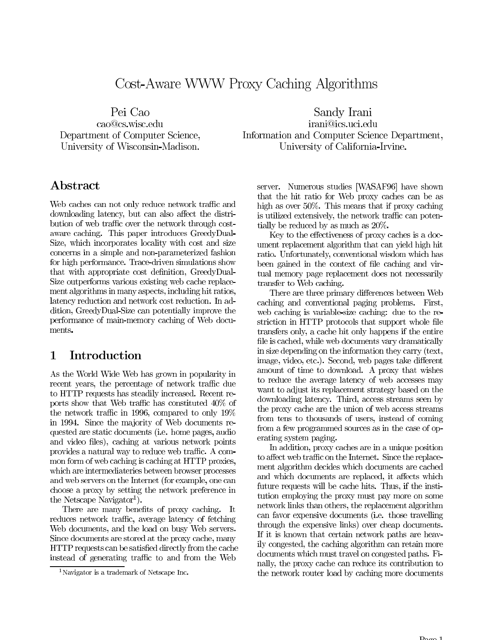# Cost-Aware WWW Proxy Caching Algorithms

Pei Cao cao@cs.wisc.edu Department of Computer Science,

University of Wisconsin-Madison.

# Abstract

Web caches can not only reduce network traffic and downloading latency, but can also affect the distribution of web traffic over the network through costaware caching. This paper introduces GreedyDual-Size, which incorporates locality with cost and size concerns in a simple and non-parameterized fashion for high performance. Trace-driven simulations show that with appropriate cost definition, GreedyDual-Size outperforms various existing web cache replacement algorithms in many aspects, including hit ratios, latency reduction and network cost reduction. In addition, GreedyDual-Size can potentially improve the performance of main-memory caching of Web documents.

### $\mathbf{1}$ Introduction

As the World Wide Web has grown in popularity in recent years, the percentage of network traffic due to HTTP requests has steadily increased. Recent reports show that Web traffic has constituted 40\% of the network traffic in 1996, compared to only 19% in 1994. Since the majority of Web documents requested are static documents (i.e. home pages, audio and video files), caching at various network points provides a natural way to reduce web traffic. A common form of web caching is caching at HTTP proxies, which are intermediateries between browser processes and web servers on the Internet (for example, one can choose a proxy by setting the network preference in the Netscape Navigator<sup>1</sup>).

There are many benefits of proxy caching. It reduces network traffic, average latency of fetching Web documents, and the load on busy Web servers. Since documents are stored at the proxy cache, many HTTP requests can be satisfied directly from the cache instead of generating traffic to and from the Web

Sandy Irani irani@ics.uci.edu Information and Computer Science Department, University of California-Irvine.

server. Numerous studies [WASAF96] have shown that the hit ratio for Web proxy caches can be as high as over  $50\%$ . This means that if proxy caching is utilized extensively, the network traffic can potentially be reduced by as much as 20%.

Key to the effectiveness of proxy caches is a document replacement algorithm that can yield high hit ratio. Unfortunately, conventional wisdom which has been gained in the context of file caching and virtual memory page replacement does not necessarily transfer to Web caching.

There are three primary differences between Web caching and conventional paging problems. First, web caching is variable-size caching: due to the restriction in HTTP protocols that support whole file transfers only, a cache hit only happens if the entire file is cached, while web documents vary dramatically in size depending on the information they carry (text, image, video, etc.). Second, web pages take different amount of time to download. A proxy that wishes to reduce the average latency of web accesses may want to adjust its replacement strategy based on the downloading latency. Third, access streams seen by the proxy cache are the union of web access streams from tens to thousands of users, instead of coming from a few programmed sources as in the case of operating system paging.

In addition, proxy caches are in a unique position to affect web traffic on the Internet. Since the replacement algorithm decides which documents are cached and which documents are replaced, it affects which future requests will be cache hits. Thus, if the institution employing the proxy must pay more on some network links than others, the replacement algorithm can favor expensive documents (i.e. those travelling through the expensive links) over cheap documents. If it is known that certain network paths are heavily congested, the caching algorithm can retain more documents which must travel on congested paths. Finally, the proxy cache can reduce its contribution to the network router load by caching more documents

<sup>&</sup>lt;sup>1</sup>Navigator is a trademark of Netscape Inc.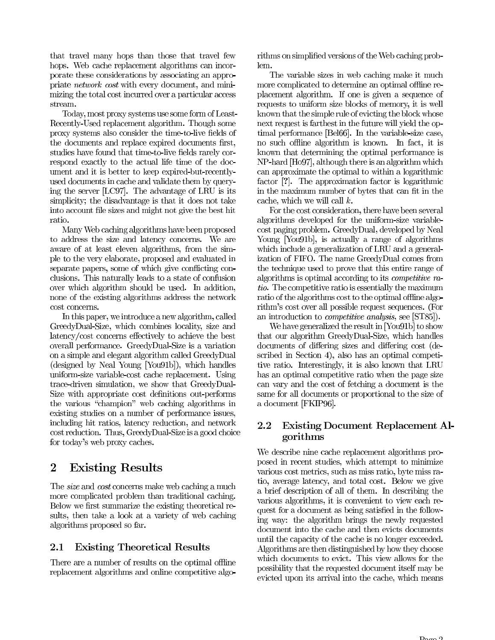that travel many hops than those that travel few hops. Web cache replacement algorithms can incorporate these considerations by associating an appropriate *network cost* with every document, and minimizing the total cost incurred over a particular access stream.

Today, most proxy systems use some form of Least-Recently-Used replacement algorithm. Though some proxy systems also consider the time-to-live fields of the documents and replace expired documents first, studies have found that time-to-live fields rarely correspond exactly to the actual life time of the document and it is better to keep expired-but-recentlyused documents in cache and validate them by querying the server [LC97]. The advantage of LRU is its simplicity; the disadvantage is that it does not take into account file sizes and might not give the best hit ratio.

Many Web caching algorithms have been proposed to address the size and latency concerns. We are aware of at least eleven algorithms, from the simple to the very elaborate, proposed and evaluated in separate papers, some of which give conflicting conclusions. This naturally leads to a state of confusion over which algorithm should be used. In addition, none of the existing algorithms address the network cost concerns.

In this paper, we introduce a new algorithm, called GreedyDual-Size, which combines locality, size and latency/cost concerns effectively to achieve the best overall performance. GreedyDual-Size is a variation on a simple and elegant algorithm called GreedyDual (designed by Neal Young [You91b]), which handles uniform-size variable-cost cache replacement. Using trace-driven simulation, we show that GreedyDual-Size with appropriate cost definitions out-performs the various "champion" web caching algorithms in existing studies on a number of performance issues, including hit ratios, latency reduction, and network cost reduction. Thus, GreedyDual-Size is a good choice for today's web proxy caches.

### $\overline{2}$ **Existing Results**

The *size* and *cost* concerns make web caching a much more complicated problem than traditional caching. Below we first summarize the existing theoretical results, then take a look at a variety of web caching algorithms proposed so far.

### **Existing Theoretical Results**  $2.1$

There are a number of results on the optimal offline replacement algorithms and online competitive algorithms on simplified versions of the Web caching problem.

The variable sizes in web caching make it much more complicated to determine an optimal offline replacement algorithm. If one is given a sequence of requests to uniform size blocks of memory, it is well known that the simple rule of evicting the block whose next request is farthest in the future will yield the optimal performance [Bel66]. In the variable-size case, no such offline algorithm is known. In fact, it is known that determining the optimal performance is NP-hard [Ho97], although there is an algorithm which can approximate the optimal to within a logarithmic factor [?]. The approximation factor is logarithmic in the maximum number of bytes that can fit in the cache, which we will call  $k$ .

For the cost consideration, there have been several algorithms developed for the uniform-size variablecost paging problem. GreedyDual, developed by Neal Young [You91b], is actually a range of algorithms which include a generalization of LRU and a generalization of FIFO. The name GreedyDual comes from the technique used to prove that this entire range of algorithms is optimal according to its *competitive ra*tio. The competitive ratio is essentially the maximum ratio of the algorithms cost to the optimal offline algorithm's cost over all possible request sequences. (For an introduction to *competitive analysis*, see [ST85]).

We have generalized the result in [You91b] to show that our algorithm GreedyDual-Size, which handles documents of differing sizes and differing cost (described in Section 4), also has an optimal competitive ratio. Interestingly, it is also known that LRU has an optimal competitive ratio when the page size can vary and the cost of fetching a document is the same for all documents or proportional to the size of a document [FKIP96].

### $2.2$ **Existing Document Replacement Al**gorithms

We describe nine cache replacement algorithms proposed in recent studies, which attempt to minimize various cost metrics, such as miss ratio, byte miss ratio, average latency, and total cost. Below we give a brief description of all of them. In describing the various algorithms, it is convenient to view each request for a document as being satisfied in the following way: the algorithm brings the newly requested document into the cache and then evicts documents until the capacity of the cache is no longer exceeded. Algorithms are then distinguished by how they choose which documents to evict. This view allows for the possibility that the requested document itself may be evicted upon its arrival into the cache, which means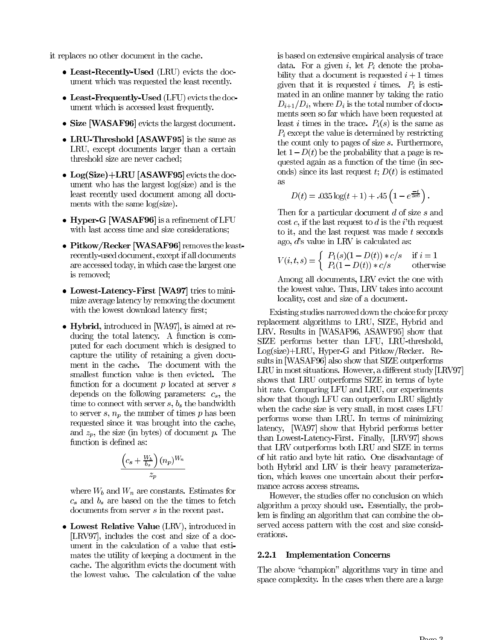it replaces no other document in the cache.

- Least-Recently-Used (LRU) evicts the document which was requested the least recently.
- $\bullet$  Least-Frequently-Used (LFU) evicts the document which is accessed least frequently.
- Size [WASAF96] evicts the largest document.
- LRU-Threshold [ASAWF95] is the same as LRU, except documents larger than a certain threshold size are never cached;
- $\bullet$  Log(Size)+LRU [ASAWF95] evicts the document who has the largest log(size) and is the least recently used document among all documents with the same log(size).
- Hyper-G [WASAF96] is a refinement of LFU with last access time and size considerations;
- Pitkow/Recker [WASAF96] removes the leastrecently-used document, except if all documents are accessed today, in which case the largest one is removed;
- Lowest-Latency-First [WA97] tries to minimize average latency by removing the document with the lowest download latency first;
- Hybrid, introduced in [WA97], is aimed at reducing the total latency. A function is computed for each document which is designed to capture the utility of retaining a given document in the cache. The document with the smallest function value is then evicted. The function for a document  $p$  located at server  $s$ depends on the following parameters:  $c_s$ , the time to connect with server  $s, b_s$  the bandwidth to server s,  $n_p$  the number of times p has been requested since it was brought into the cache, and  $z_p$ , the size (in bytes) of document p. The function is defined as:

$$
\frac{\left(c_s + \frac{W_b}{b_s}\right)(n_p)^{W_n}}{z_p}
$$

where  $W_b$  and  $W_n$  are constants. Estimates for  $c_s$  and  $b_s$  are based on the the times to fetch documents from server  $s$  in the recent past.

• Lowest Relative Value (LRV), introduced in [LRV97], includes the cost and size of a document in the calculation of a value that estimates the utility of keeping a document in the cache. The algorithm evicts the document with the lowest value. The calculation of the value is based on extensive empirical analysis of trace data. For a given  $i$ , let  $P_i$  denote the probability that a document is requested  $i + 1$  times given that it is requested i times.  $P_i$  is estimated in an online manner by taking the ratio  $D_{i+1}/D_i$ , where  $D_i$  is the total number of documents seen so far which have been requested at least *i* times in the trace.  $P_i(s)$  is the same as  $P_i$  except the value is determined by restricting the count only to pages of size  $s$ . Furthermore, let  $1-D(t)$  be the probability that a page is requested again as a function of the time (in seconds) since its last request  $t$ ;  $D(t)$  is estimated as

$$
D(t) = .035 \log(t+1) + .45 \left(1 - e^{\frac{-t}{2e6}}\right)
$$

Then for a particular document  $d$  of size  $s$  and cost c, if the last request to d is the i'th request to it, and the last request was made t seconds ago,  $d$ 's value in LRV is calculated as:

$$
V(i,t,s) = \begin{cases} P_1(s)(1 - D(t)) * c/s & \text{if } i = 1\\ P_i(1 - D(t)) * c/s & \text{otherwise} \end{cases}
$$

Among all documents, LRV evict the one with the lowest value. Thus, LRV takes into account locality, cost and size of a document.

Existing studies narrowed down the choice for proxy replacement algorithms to LRU, SIZE, Hybrid and LRV. Results in [WASAF96, ASAWF95] show that SIZE performs better than LFU, LRU-threshold, Log(size)+LRU, Hyper-G and Pitkow/Recker. Results in [WASAF96] also show that SIZE outperforms LRU in most situations. However, a different study [LRV97] shows that LRU outperforms SIZE in terms of byte hit rate. Comparing LFU and LRU, our experiments show that though LFU can outperform LRU slightly when the cache size is very small, in most cases LFU performs worse than LRU. In terms of minimizing latency, [WA97] show that Hybrid performs better than Lowest-Latency-First. Finally, [LRV97] shows that LRV outperforms both LRU and SIZE in terms of hit ratio and byte hit ratio. One disadvantage of both Hybrid and LRV is their heavy parameterization, which leaves one uncertain about their performance across access streams.

However, the studies offer no conclusion on which algorithm a proxy should use. Essentially, the problem is finding an algorithm that can combine the observed access pattern with the cost and size considerations.

### 2.2.1 Implementation Concerns

The above "champion" algorithms vary in time and space complexity. In the cases when there are a large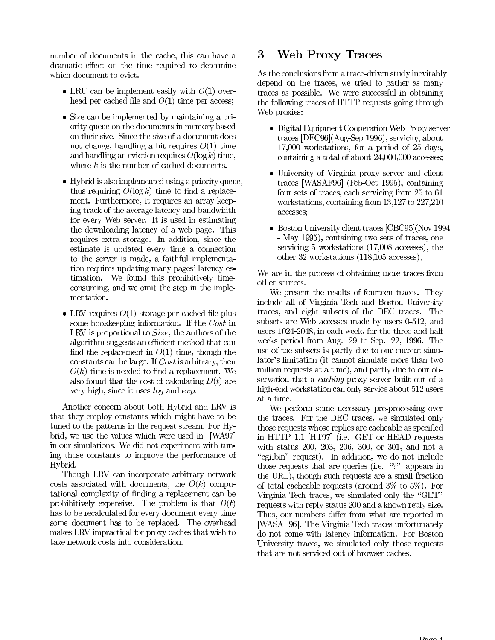number of documents in the cache, this can have a dramatic effect on the time required to determine which document to evict.

- LRU can be implement easily with  $O(1)$  overhead per cached file and  $O(1)$  time per access;
- Size can be implemented by maintaining a priority queue on the documents in memory based on their size. Since the size of a document does not change, handling a hit requires  $O(1)$  time and handling an eviction requires  $O(\log k)$  time, where  $k$  is the number of cached documents.
- $\bullet$  Hybrid is also implemented using a priority queue, thus requiring  $O(\log k)$  time to find a replacement. Furthermore, it requires an array keeping track of the average latency and bandwidth for every Web server. It is used in estimating the downloading latency of a web page. This requires extra storage. In addition, since the estimate is updated every time a connection to the server is made, a faithful implementation requires updating many pages' latency estimation. We found this prohibitively timeconsuming, and we omit the step in the implementation.
- LRV requires  $O(1)$  storage per cached file plus some bookkeeping information. If the Cost in LRV is proportional to  $Size$ , the authors of the algorithm suggests an efficient method that can find the replacement in  $O(1)$  time, though the constants can be large. If  $Cost$  is arbitrary, then  $O(k)$  time is needed to find a replacement. We also found that the cost of calculating  $D(t)$  are very high, since it uses  $log$  and  $exp$ .

Another concern about both Hybrid and LRV is that they employ constants which might have to be tuned to the patterns in the request stream. For Hybrid, we use the values which were used in [WA97] in our simulations. We did not experiment with tuning those constants to improve the performance of Hybrid.

Though LRV can incorporate arbitrary network costs associated with documents, the  $O(k)$  computational complexity of finding a replacement can be prohibitively expensive. The problem is that  $D(t)$ has to be recalculated for every document every time some document has to be replaced. The overhead makes LRV impractical for proxy caches that wish to take network costs into consideration.

### **Web Proxy Traces** 3

As the conclusions from a trace-driven study inevitably depend on the traces, we tried to gather as many traces as possible. We were successful in obtaining the following traces of HTTP requests going through Web proxies:

- Digital Equipment Cooperation Web Proxy server traces [DEC96](Aug-Sep 1996), servicing about  $17,000$  workstations, for a period of  $25$  days, containing a total of about 24,000,000 accesses;
- University of Virginia proxy server and client traces [WASAF96] (Feb-Oct 1995), containing four sets of traces, each servicing from 25 to 61 workstations, containing from  $13,127$  to  $227,210$ accesses;
- Boston University client traces  $[CBC95]$ (Nov 1994 - May 1995), containing two sets of traces, one servicing  $5$  workstations  $(17,008)$  accesses), the other 32 workstations (118,105 accesses);

We are in the process of obtaining more traces from other sources.

We present the results of fourteen traces. They include all of Virginia Tech and Boston University traces, and eight subsets of the DEC traces. The subsets are Web accesses made by users 0-512, and users 1024-2048, in each week, for the three and half weeks period from Aug. 29 to Sep. 22, 1996. The use of the subsets is partly due to our current simulator's limitation (it cannot simulate more than two million requests at a time), and partly due to our observation that a *caching* proxy server built out of a high-end workstation can only service about 512 users at a time.

We perform some necessary pre-processing over the traces. For the DEC traces, we simulated only those requests whose replies are cacheable as specified in HTTP 1.1 [HT97] (i.e. GET or HEAD requests with status 200, 203, 206, 300, or 301, and not a "cgi\_bin" request). In addition, we do not include those requests that are queries (i.e. "?" appears in the URL), though such requests are a small fraction of total cacheable requests (around  $3\%$  to  $5\%$ ). For Virginia Tech traces, we simulated only the "GET" requests with reply status 200 and a known reply size. Thus, our numbers differ from what are reported in [WASAF96]. The Virginia Tech traces unfortunately do not come with latency information. For Boston University traces, we simulated only those requests that are not serviced out of browser caches.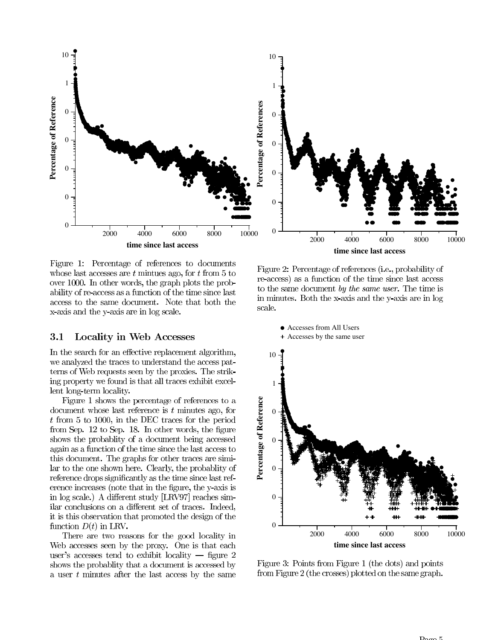

Figure 1: Percentage of references to documents whose last accesses are  $t$  minutes ago, for  $t$  from 5 to over 1000. In other words, the graph plots the probability of re-access as a function of the time since last access to the same document. Note that both the x-axis and the y-axis are in log scale.

### **Locality in Web Accesses 3.1**

In the search for an effective replacement algorithm, we analyzed the traces to understand the access patterns of Web requests seen by the proxies. The striking property we found is that all traces exhibit excellent long-term locality.

Figure 1 shows the percentage of references to a document whose last reference is  $t$  minutes ago, for  $t$  from 5 to 1000, in the DEC traces for the period from Sep. 12 to Sep. 18. In other words, the figure shows the probability of a document being accessed again as a function of the time since the last access to this document. The graphs for other traces are similar to the one shown here. Clearly, the probability of reference drops significantly as the time since last reference increases (note that in the figure, the y-axis is in log scale.) A different study [LRV97] reaches similar conclusions on a different set of traces. Indeed, it is this observation that promoted the design of the function  $D(t)$  in LRV.

There are two reasons for the good locality in Web accesses seen by the proxy. One is that each user's accesses tend to exhibit locality  $-$  figure 2 shows the probability that a document is accessed by a user  $t$  minutes after the last access by the same

Figure 2: Percentage of references (i.e., probability of re-access) as a function of the time since last access to the same document by the same user. The time is in minutes. Both the x-axis and the y-axis are in log scale.



Figure 3: Points from Figure 1 (the dots) and points from Figure 2 (the crosses) plotted on the same graph.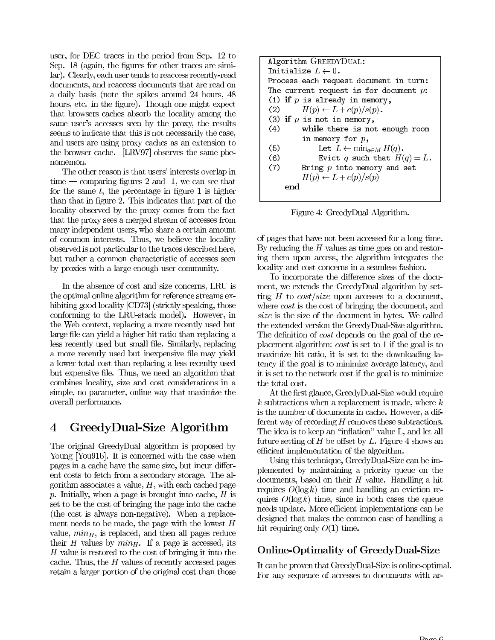user, for DEC traces in the period from Sep. 12 to Sep. 18 (again, the figures for other traces are similar). Clearly, each user tends to reaccess recently-read documents, and reaccess documents that are read on a daily basis (note the spikes around 24 hours, 48) hours, etc. in the figure). Though one might expect that browsers caches absorb the locality among the same user's accesses seen by the proxy, the results seems to indicate that this is not necessarily the case, and users are using proxy caches as an extension to the browser cache. [LRV97] observes the same phenomemon.

The other reason is that users' interests overlap in  $time$  — comparing figures 2 and 1, we can see that for the same  $t$ , the percentage in figure 1 is higher than that in figure 2. This indicates that part of the locality observed by the proxy comes from the fact that the proxy sees a merged stream of accesses from many independent users, who share a certain amount of common interests. Thus, we believe the locality observed is not particular to the traces described here, but rather a common characteristic of accesses seen by proxies with a large enough user community.

In the absence of cost and size concerns, LRU is the optimal online algorithm for reference streams exhibiting good locality [CD73] (strictly speaking, those conforming to the LRU-stack model). However, in the Web context, replacing a more recently used but large file can yield a higher hit ratio than replacing a less recently used but small file. Similarly, replacing a more recently used but in expensive file may yield a lower total cost than replacing a less recently used but expensive file. Thus, we need an algorithm that combines locality, size and cost considerations in a simple, no parameter, online way that maximize the overall performance.

### $\overline{4}$ GreedyDual-Size Algorithm

The original GreedyDual algorithm is proposed by Young [You91b]. It is concerned with the case when pages in a cache have the same size, but incur different costs to fetch from a secondary storage. The algorithm associates a value,  $H$ , with each cached page p. Initially, when a page is brought into cache,  $H$  is set to be the cost of bringing the page into the cache (the cost is always non-negative). When a replacement needs to be made, the page with the lowest  $H$ value,  $min_H$ , is replaced, and then all pages reduce their  $H$  values by  $min<sub>H</sub>$ . If a page is accessed, its H value is restored to the cost of bringing it into the cache. Thus, the  $H$  values of recently accessed pages retain a larger portion of the original cost than those

| Algorithm GREEDYDUAL:                           |  |  |  |  |  |  |  |
|-------------------------------------------------|--|--|--|--|--|--|--|
| Tnitialize $L \leftarrow 0$ .                   |  |  |  |  |  |  |  |
| Process each request document in turn:          |  |  |  |  |  |  |  |
| The current request is for document $p$ :       |  |  |  |  |  |  |  |
| (1) if $p$ is already in memory,                |  |  |  |  |  |  |  |
| $H(p) \leftarrow L + c(p)/s(p)$ .<br>(2)        |  |  |  |  |  |  |  |
| (3) if $p$ is not in memory,                    |  |  |  |  |  |  |  |
| (4)<br>while there is not enough room           |  |  |  |  |  |  |  |
| in memory for $p$ ,                             |  |  |  |  |  |  |  |
| Let $L \leftarrow \min_{q \in M} H(q)$ .<br>(5) |  |  |  |  |  |  |  |
| (6)<br>Evict q such that $H(q) = L$ .           |  |  |  |  |  |  |  |
| (7)<br>Bring $p$ into memory and set            |  |  |  |  |  |  |  |
| $H(p) \leftarrow L + c(p)/s(p)$                 |  |  |  |  |  |  |  |
| end                                             |  |  |  |  |  |  |  |

Figure 4: GreedyDual Algorithm.

of pages that have not been accessed for a long time. By reducing the  $H$  values as time goes on and restoring them upon access, the algorithm integrates the locality and cost concerns in a seamless fashion.

To incorporate the difference sizes of the document, we extends the GreedyDual algorithm by setting H to  $cost/size$  upon accesses to a document, where  $cost$  is the cost of bringing the document, and size is the size of the document in bytes. We called the extended version the GreedyDual-Size algorithm. The definition of *cost* depends on the goal of the replacement algorithm:  $cost$  is set to 1 if the goal is to maximize hit ratio, it is set to the downloading latency if the goal is to minimize average latency, and it is set to the network cost if the goal is to minimize the total cost.

At the first glance, GreedyDual-Size would require  $k$  subtractions when a replacement is made, where  $k$ is the number of documents in cache. However, a different way of recording  $H$  removes these subtractions. The idea is to keep an "inflation" value L, and let all future setting of  $H$  be offset by  $L$ . Figure 4 shows an efficient implementation of the algorithm.

Using this technique, GreedyDual-Size can be implemented by maintaining a priority queue on the documents, based on their  $H$  value. Handling a hit requires  $O(\log k)$  time and handling an eviction requires  $O(\log k)$  time, since in both cases the queue needs update. More efficient implementations can be designed that makes the common case of handling a hit requiring only  $O(1)$  time.

### **Online-Optimality of GreedyDual-Size**

It can be proven that GreedyDual-Size is online-optimal. For any sequence of accesses to documents with ar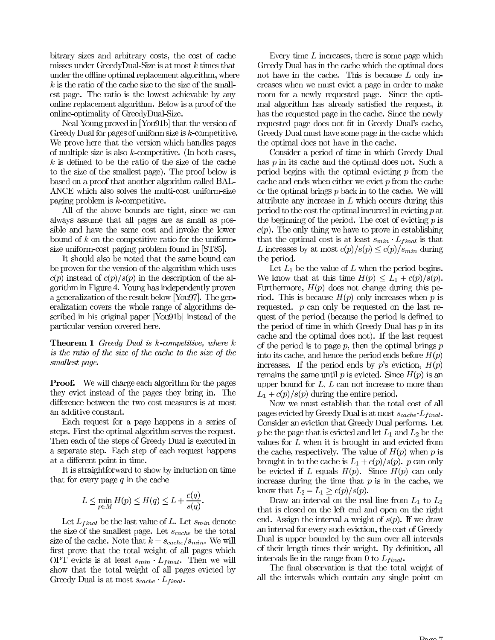bitrary sizes and arbitrary costs, the cost of cache misses under GreedyDual-Size is at most  $k$  times that under the offline optimal replacement algorithm, where  $k$  is the ratio of the cache size to the size of the smallest page. The ratio is the lowest achievable by any online replacement algorithm. Below is a proof of the online-optimality of GreedyDual-Size.

Neal Young proved in [You91b] that the version of Greedy Dual for pages of uniform size is  $k$ -competitive. We prove here that the version which handles pages of multiple size is also  $k$ -competitive. (In both cases,  $k$  is defined to be the ratio of the size of the cache to the size of the smallest page). The proof below is based on a proof that another algorithm called BAL-ANCE which also solves the multi-cost uniform-size paging problem is  $k$ -competitive.

All of the above bounds are tight, since we can always assume that all pages are as small as possible and have the same cost and invoke the lower bound of  $k$  on the competitive ratio for the uniformsize uniform-cost paging problem found in [ST85].

It should also be noted that the same bound can be proven for the version of the algorithm which uses  $c(p)$  instead of  $c(p)/s(p)$  in the description of the algorithm in Figure 4. Young has independently proven a generalization of the result below [You97]. The generalization covers the whole range of algorithms described in his original paper [You91b] instead of the particular version covered here.

**Theorem 1** Greedy Dual is  $k$ -competitive, where  $k$ is the ratio of the size of the cache to the size of the smallest page.

**Proof.** We will charge each algorithm for the pages they evict instead of the pages they bring in. The difference between the two cost measures is at most an additive constant.

Each request for a page happens in a series of steps. First the optimal algorithm serves the request. Then each of the steps of Greedy Dual is executed in a separate step. Each step of each request happens at a different point in time.

It is straightforward to show by induction on time that for every page  $q$  in the cache

$$
L \le \min_{p \in M} H(p) \le H(q) \le L + \frac{c(q)}{s(q)}.
$$

Let  $L_{final}$  be the last value of L. Let  $s_{min}$  denote the size of the smallest page. Let  $s_{cache}$  be the total size of the cache. Note that  $k = s_{cache}/s_{min}$ . We will first prove that the total weight of all pages which OPT evicts is at least  $s_{min} \cdot L_{final}$ . Then we will show that the total weight of all pages evicted by Greedy Dual is at most  $s_{cache} \cdot L_{final}$ .

Every time  $L$  increases, there is some page which Greedy Dual has in the cache which the optimal does not have in the cache. This is because  $L$  only increases when we must evict a page in order to make room for a newly requested page. Since the optimal algorithm has already satisfied the request, it has the requested page in the cache. Since the newly requested page does not fit in Greedy Dual's cache, Greedy Dual must have some page in the cache which the optimal does not have in the cache.

Consider a period of time in which Greedy Dual has  $p$  in its cache and the optimal does not. Such a period begins with the optimal evicting  $p$  from the cache and ends when either we evict  $p$  from the cache or the optimal brings  $p$  back in to the cache. We will attribute any increase in  $L$  which occurs during this period to the cost the optimal incurred in evicting  $p$  at the beginning of the period. The cost of evicting  $p$  is  $c(p)$ . The only thing we have to prove in establishing that the optimal cost is at least  $s_{min} \cdot L_{final}$  is that L increases by at most  $c(p)/s(p) \leq c(p)/s_{min}$  during the period.

Let  $L_1$  be the value of L when the period begins. We know that at this time  $H(p) \leq L_1 + c(p)/s(p)$ . Furthermore,  $H(p)$  does not change during this period. This is because  $H(p)$  only increases when p is requested.  $p$  can only be requested on the last request of the period (because the period is defined to the period of time in which Greedy Dual has  $p$  in its cache and the optimal does not). If the last request of the period is to page  $p$ , then the optimal brings  $p$ into its cache, and hence the period ends before  $H(p)$ increases. If the period ends by p's eviction,  $H(p)$ remains the same until p is evicted. Since  $H(p)$  is an upper bound for  $L, L$  can not increase to more than  $L_1 + c(p)/s(p)$  during the entire period.

Now we must establish that the total cost of all pages evicted by Greedy Dual is at most  $s_{cache} \cdot L_{final}$ . Consider an eviction that Greedy Dual performs. Let p be the page that is evicted and let  $L_1$  and  $L_2$  be the values for  $L$  when it is brought in and evicted from the cache, respectively. The value of  $H(p)$  when p is brought in to the cache is  $L_1 + c(p)/s(p)$ . p can only be evicted if L equals  $H(p)$ . Since  $H(p)$  can only increase during the time that  $p$  is in the cache, we know that  $L_2 - L_1 \geq c(p)/s(p)$ .

Draw an interval on the real line from  $L_1$  to  $L_2$ that is closed on the left end and open on the right end. Assign the interval a weight of  $s(p)$ . If we draw an interval for every such eviction, the cost of Greedy Dual is upper bounded by the sum over all intervals of their length times their weight. By definition, all intervals lie in the range from 0 to  $L_{final}$ .

The final observation is that the total weight of all the intervals which contain any single point on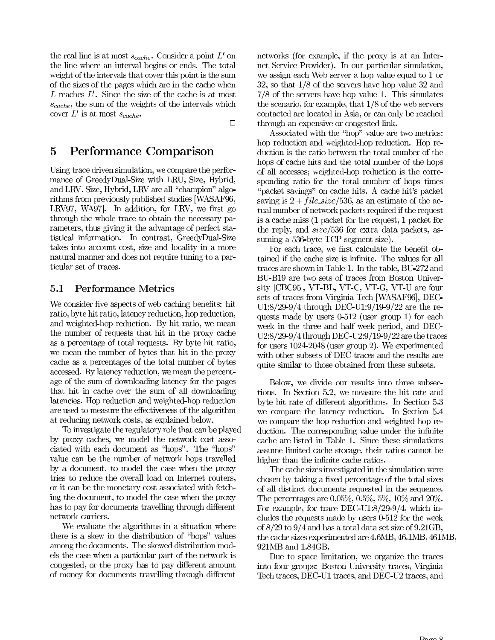the real line is at most  $s_{cache}$ . Consider a point L' on the line where an interval begins or ends. The total weight of the intervals that cover this point is the sum of the sizes of the pages which are in the cache when  $L$  reaches  $L'$ . Since the size of the cache is at most  $s_{cache}$ , the sum of the weights of the intervals which cover L' is at most  $s_{cache}$ .

 $\Box$ 

### $\overline{5}$ Performance Comparison

Using trace driven simulation, we compare the performance of GreedyDual-Size with LRU, Size, Hybrid, and LRV. Size, Hybrid, LRV are all "champion" algorithms from previously published studies [WASAF96, LRV97, WA97. In addition, for LRV, we first go through the whole trace to obtain the necessary parameters, thus giving it the advantage of perfect statistical information. In contrast, GreedyDual-Size takes into account cost, size and locality in a more natural manner and does not require tuning to a particular set of traces.

### **Performance Metrics**  $5.1$

We consider five aspects of web caching benefits: hit ratio, byte hit ratio, latency reduction, hop reduction, and weighted-hop reduction. By hit ratio, we mean the number of requests that hit in the proxy cache as a percentage of total requests. By byte hit ratio, we mean the number of bytes that hit in the proxy cache as a percentages of the total number of bytes accessed. By latency reduction, we mean the percentage of the sum of downloading latency for the pages that hit in cache over the sum of all downloading latencies. Hop reduction and weighted-hop reduction are used to measure the effectiveness of the algorithm at reducing network costs, as explained below.

To investigate the regulatory role that can be played by proxy caches, we model the network cost associated with each document as "hops". The "hops" value can be the number of network hops travelled by a document, to model the case when the proxy tries to reduce the overall load on Internet routers, or it can be the monetary cost associated with fetching the document, to model the case when the proxy has to pay for documents travelling through different network carriers.

We evaluate the algorithms in a situation where there is a skew in the distribution of "hops" values among the documents. The skewed distribution models the case when a particular part of the network is congested, or the proxy has to pay different amount of money for documents travelling through different

networks (for example, if the proxy is at an Internet Service Provider). In our particular simulation, we assign each Web server a hop value equal to 1 or 32, so that  $1/8$  of the servers have hop value 32 and  $7/8$  of the servers have hop value 1. This simulates the scenario, for example, that  $1/8$  of the web servers contacted are located in Asia, or can only be reached through an expensive or congested link.

Associated with the "hop" value are two metrics: hop reduction and weighted-hop reduction. Hop reduction is the ratio between the total number of the hops of cache hits and the total number of the hops of all accesses; weighted-hop reduction is the corresponding ratio for the total number of hops times "packet savings" on cache hits. A cache hit's packet saving is  $2 + file \text{ size}/536$ , as an estimate of the actual number of network packets required if the request is a cache miss (1 packet for the request, 1 packet for the reply, and *size*/536 for extra data packets, assuming a 536-byte TCP segment size).

For each trace, we first calculate the benefit obtained if the cache size is infinite. The values for all traces are shown in Table 1. In the table, BU-272 and BU-B19 are two sets of traces from Boston University [CBC95], VT-BL, VT-C, VT-G, VT-U are four sets of traces from Virginia Tech [WASAF96], DEC-U1:8/29-9/4 through DEC-U1:9/19-9/22 are the requests made by users 0-512 (user group 1) for each week in the three and half week period, and DEC- $U2:8/29-9/4$  through DEC-U2:9/19-9/22 are the traces for users  $1024-2048$  (user group 2). We experimented with other subsets of DEC traces and the results are quite similar to those obtained from these subsets.

Below, we divide our results into three subsections. In Section 5.2, we measure the hit rate and byte hit rate of different algorithms. In Section 5.3 we compare the latency reduction. In Section 5.4 we compare the hop reduction and weighted hop reduction. The corresponding value under the infinite cache are listed in Table 1. Since these simulations assume limited cache storage, their ratios cannot be higher than the infinite cache ratios.

The cache sizes investigated in the simulation were chosen by taking a fixed percentage of the total sizes of all distinct documents requested in the sequence. The percentages are 0.05%, 0.5%, 5%, 10% and 20%. For example, for trace DEC-U1:8/29-9/4, which includes the requests made by users 0-512 for the week of  $8/29$  to  $9/4$  and has a total data set size of  $9.21$ GB, the cache sizes experimented are 4.6MB, 46.1MB, 461MB, 921MB and 1.84GB.

Due to space limitation, we organize the traces into four groups: Boston University traces, Virginia Tech traces, DEC-U1 traces, and DEC-U2 traces, and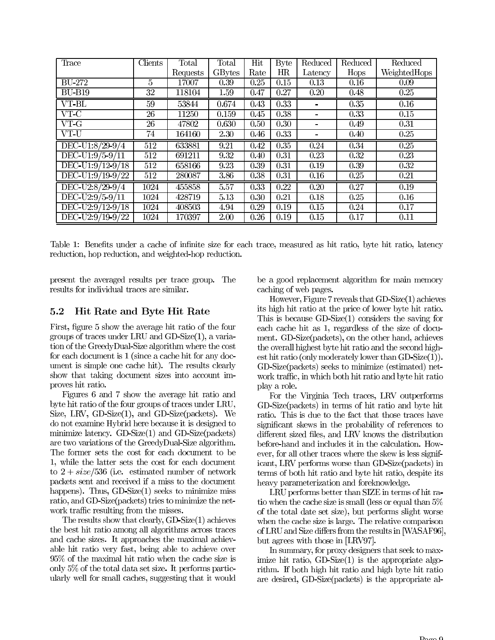| Trace                  | <b>Clients</b>  | Total    | $\text{Total}$ | Hit  | <b>Byte</b>       | Reduced           | Reduced | Reduced           |
|------------------------|-----------------|----------|----------------|------|-------------------|-------------------|---------|-------------------|
|                        |                 | Requests | GBytes         | Rate | HR                | Latency           | Hops    | WeightedHops      |
| <b>BU-272</b>          | $\overline{5}$  | 17007    | 0.39           | 0.25 | 0.15              | 0.13              | 0.16    | 0.09              |
| $\overline{BU-B19}$    | 32              | 118104   | 1.59           | 0.47 | 0.27              | 0.20              | 0.48    | 0.25              |
| $VT-BL$                | $\overline{59}$ | 53844    | 0.674          | 0.43 | 0.33              |                   | 0.35    | $\overline{0.16}$ |
| $VT-C$                 | $\overline{26}$ | 11250    | 0.159          | 0.45 | 0.38              |                   | 0.33    | 0.15              |
| $VT-G$                 | 26              | 47802    | 0.630          | 0.50 | 0.30              |                   | 0.49    | 0.31              |
| VT-U                   | 74              | 164160   | 2.30           | 0.46 | 0.33              |                   | 0.40    | 0.25              |
| DEC-U1:8/29-9/4        | 512             | 633881   | 9.21           | 0.42 | 0.35              | 0.24              | 0.34    | 0.25              |
| $DEC-U1:9/5-9/11$      | 512             | 691211   | 9.32           | 0.40 | $\overline{0.31}$ | $\overline{0.23}$ | 0.32    | 0.23              |
| DEC-U1:9/12-9/18       | 512             | 658166   | 9.23           | 0.39 | 0.31              | 0.19              | 0.39    | 0.32              |
| DEC-U1:9/19-9/22       | 512             | 280087   | 3.86           | 0.38 | 0.31              | 0.16              | 0.25    | 0.21              |
| DEC-U2:8/29-9/4        | 1024            | 455858   | 5.57           | 0.33 | 0.22              | 0.20              | 0.27    | 0.19              |
| $DEC$ - $U$ 2:9/5-9/11 | 1024            | 428719   | 5.13           | 0.30 | 0.21              | 0.18              | 0.25    | 0.16              |
| DEC-U2:9/12-9/18       | 1024            | 408503   | 4.94           | 0.29 | 0.19              | 0.15              | 0.24    | 0.17              |
| DEC-U2:9/19-9/22       | 1024            | 170397   | 2.00           | 0.26 | 0.19              | 0.15              | 0.17    | 0.11              |

Table 1: Benefits under a cache of infinite size for each trace, measured as hit ratio, byte hit ratio, latency reduction, hop reduction, and weighted-hop reduction.

present the averaged results per trace group. The results for individual traces are similar.

5.2 Hit Rate and Byte Hit Rate

First, figure 5 show the average hit ratio of the four groups of traces under LRU and GD-Size $(1)$ , a variation of the GreedyDual-Size algorithm where the cost for each document is  $1$  (since a cache hit for any document is simple one cache hit). The results clearly show that taking document sizes into account improves hit ratio.

Figures 6 and 7 show the average hit ratio and byte hit ratio of the four groups of traces under LRU, Size, LRV, GD-Size(1), and GD-Size(packets). We do not examine Hybrid here because it is designed to minimize latency.  $GD-Size(1)$  and  $GD-Size(packets)$ are two variations of the GreedyDual-Size algorithm. The former sets the cost for each document to be 1, while the latter sets the cost for each document to  $2 + size/536$  (i.e. estimated number of network packets sent and received if a miss to the document happens). Thus,  $GD-Size(1)$  seeks to minimize miss ratio, and GD-Size(packets) tries to minimize the network traffic resulting from the misses.

The results show that clearly,  $GD\text{-}Size(1)$  achieves the best hit ratio among all algorithms across traces and cache sizes. It approaches the maximal achievable hit ratio very fast, being able to achieve over  $95\%$  of the maximal hit ratio when the cache size is only 5% of the total data set size. It performs particularly well for small caches, suggesting that it would be a good replacement algorithm for main memory caching of web pages.

However, Figure 7 reveals that  $GD-Size(1)$  achieves its high hit ratio at the price of lower byte hit ratio. This is because  $GD-Size(1)$  considers the saving for each cache hit as 1, regardless of the size of document. GD-Size(packets), on the other hand, achieves the overall highest byte hit ratio and the second highest hit ratio (only moderately lower than  $GD-Size(1)$ ). GD-Size(packets) seeks to minimize (estimated) network traffic, in which both hit ratio and byte hit ratio play a role.

For the Virginia Tech traces, LRV outperforms GD-Size(packets) in terms of hit ratio and byte hit ratio. This is due to the fact that those traces have significant skews in the probability of references to different sized files, and LRV knows the distribution before-hand and includes it in the calculation. However, for all other traces where the skew is less significant, LRV performs worse than GD-Size(packets) in terms of both hit ratio and byte hit ratio, despite its heavy parameterization and foreknowledge.

LRU performs better than SIZE in terms of hit ratio when the cache size is small (less or equal than 5% of the total date set size), but performs slight worse when the cache size is large. The relative comparison of LRU and Size differs from the results in [WASAF96] but agrees with those in [LRV97].

In summary, for proxy designers that seek to maximize hit ratio,  $GD\text{-}Size(1)$  is the appropriate algorithm. If both high hit ratio and high byte hit ratio are desired, GD-Size(packets) is the appropriate al-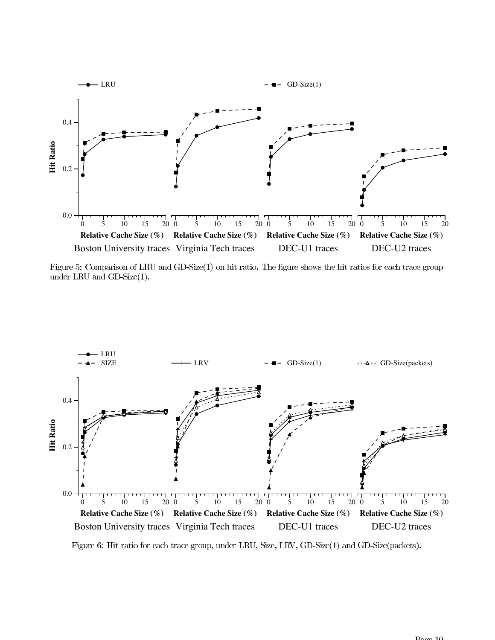

Figure 5: Comparison of LRU and GD-Size $(1)$  on hit ratio. The figure shows the hit ratios for each trace group under LRU and  $GD\text{-}Size(1)$ .



Figure 6: Hit ratio for each trace group, under LRU, Size, LRV, GD-Size(1) and GD-Size(packets).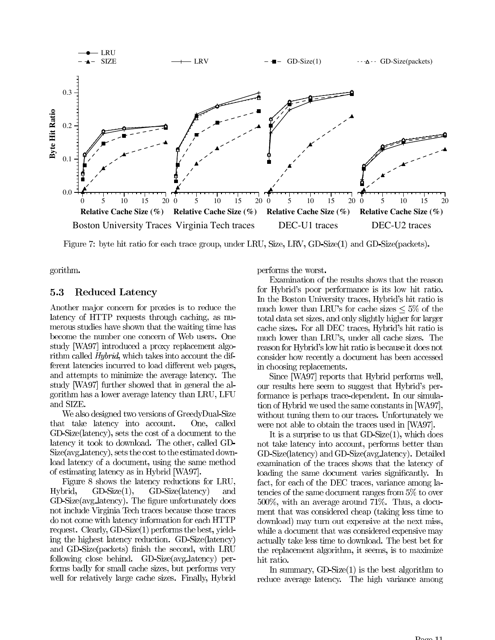

Figure 7: byte hit ratio for each trace group, under LRU, Size, LRV, GD-Size(1) and GD-Size(packets).

gorithm.

#### 5.3 Reduced Latency

Another major concern for proxies is to reduce the latency of HTTP requests through caching, as numerous studies have shown that the waiting time has become the number one concern of Web users. One study [WA97] introduced a proxy replacement algorithm called *Hybrid*, which takes into account the different latencies incurred to load different web pages, and attempts to minimize the average latency. The study [WA97] further showed that in general the algorithm has a lower average latency than LRU, LFU and SIZE.

We also designed two versions of GreedyDual-Size that take latency into account. One, called GD-Size(latency), sets the cost of a document to the latency it took to download. The other, called GD-Size(avg\_latency), sets the cost to the estimated download latency of a document, using the same method of estimating latency as in Hybrid [WA97].

Figure 8 shows the latency reductions for LRU, Hybrid. GD-Size(latency)  $GD\text{-}Size(1)$ , and GD-Size(avg\_latency). The figure unfortunately does not include Virginia Tech traces because those traces do not come with latency information for each HTTP request. Clearly, GD-Size $(1)$  performs the best, yielding the highest latency reduction. GD-Size(latency) and GD-Size(packets) finish the second, with LRU following close behind. GD-Size(avg\_latency) performs badly for small cache sizes, but performs very well for relatively large cache sizes. Finally, Hybrid

performs the worst.

Examination of the results shows that the reason for Hybrid's poor performance is its low hit ratio. In the Boston University traces, Hybrid's hit ratio is much lower than LRU's for cache sizes  $\leq 5\%$  of the total data set sizes, and only slightly higher for larger cache sizes. For all DEC traces, Hybrid's hit ratio is much lower than LRU's, under all cache sizes. The reason for Hybrid's low hit ratio is because it does not consider how recently a document has been accessed in choosing replacements.

Since [WA97] reports that Hybrid performs well, our results here seem to suggest that Hybrid's performance is perhaps trace-dependent. In our simulation of Hybrid we used the same constants in [WA97], without tuning them to our traces. Unfortunately we were not able to obtain the traces used in [WA97].

It is a surprise to us that  $GD-Size(1)$ , which does not take latency into account, performs better than GD-Size(latency) and GD-Size(avg\_latency). Detailed examination of the traces shows that the latency of loading the same document varies significantly. In fact, for each of the DEC traces, variance among latencies of the same document ranges from 5% to over  $500\%$ , with an average around 71%. Thus, a document that was considered cheap (taking less time to download) may turn out expensive at the next miss, while a document that was considered expensive may actually take less time to download. The best bet for the replacement algorithm, it seems, is to maximize hit ratio.

In summary,  $GD-Size(1)$  is the best algorithm to reduce average latency. The high variance among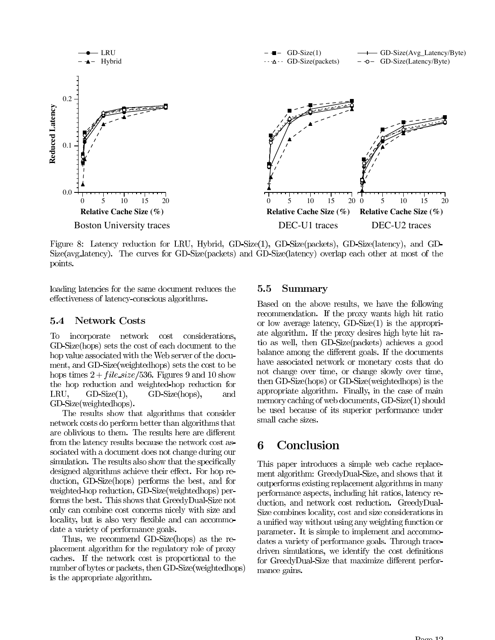

Figure 8: Latency reduction for LRU, Hybrid, GD-Size(1), GD-Size(packets), GD-Size(latency), and GD-Size(avg\_latency). The curves for GD-Size(packets) and GD-Size(latency) overlap each other at most of the points.

loading latencies for the same document reduces the effectiveness of latency-conscious algorithms.

#### $5.4$ **Network Costs**

To incorporate network cost considerations, GD-Size(hops) sets the cost of each document to the hop value associated with the Web server of the document, and GD-Size(weightedhops) sets the cost to be hops times  $2 + file\_size/536$ . Figures 9 and 10 show the hop reduction and weighted-hop reduction for LRU,  $GD\text{-}Size(1)$ ,  $GD-Size(hops),$ and GD-Size(weightedhops).

The results show that algorithms that consider network costs do perform better than algorithms that are oblivious to them. The results here are different from the latency results because the network cost associated with a document does not change during our simulation. The results also show that the specifically designed algorithms achieve their effect. For hop reduction, GD-Size(hops) performs the best, and for weighted-hop reduction, GD-Size(weightedhops) performs the best. This shows that GreedyDual-Size not only can combine cost concerns nicely with size and locality, but is also very flexible and can accommodate a variety of performance goals.

Thus, we recommend GD-Size(hops) as the replacement algorithm for the regulatory role of proxy caches. If the network cost is proportional to the number of bytes or packets, then GD-Size(weightedhops) is the appropriate algorithm.

### 5.5 Summary

Based on the above results, we have the following recommendation. If the proxy wants high hit ratio or low average latency,  $GD\text{-}Size(1)$  is the appropriate algorithm. If the proxy desires high byte hit ratio as well, then GD-Size(packets) achieves a good balance among the different goals. If the documents have associated network or monetary costs that do not change over time, or change slowly over time, then GD-Size(hops) or GD-Size(weightedhops) is the appropriate algorithm. Finally, in the case of main memory caching of web documents,  $GD\text{-}Size(1)$  should be used because of its superior performance under small cache sizes.

### Conclusion 6

This paper introduces a simple web cache replacement algorithm: GreedyDual-Size, and shows that it outperforms existing replacement algorithms in many performance aspects, including hit ratios, latency reduction, and network cost reduction. GreedyDual-Size combines locality, cost and size considerations in a unified way without using any weighting function or parameter. It is simple to implement and accommodates a variety of performance goals. Through tracedriven simulations, we identify the cost definitions for GreedyDual-Size that maximize different performance gains.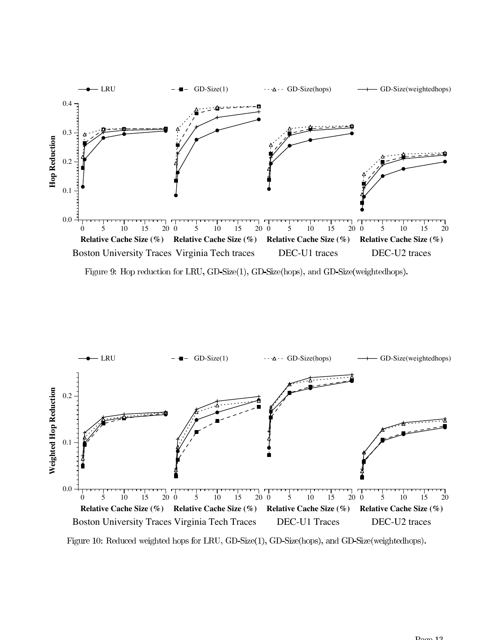

Figure 9: Hop reduction for LRU, GD-Size(1), GD-Size(hops), and GD-Size(weightedhops).



Figure 10: Reduced weighted hops for LRU, GD-Size(1), GD-Size(hops), and GD-Size(weightedhops).